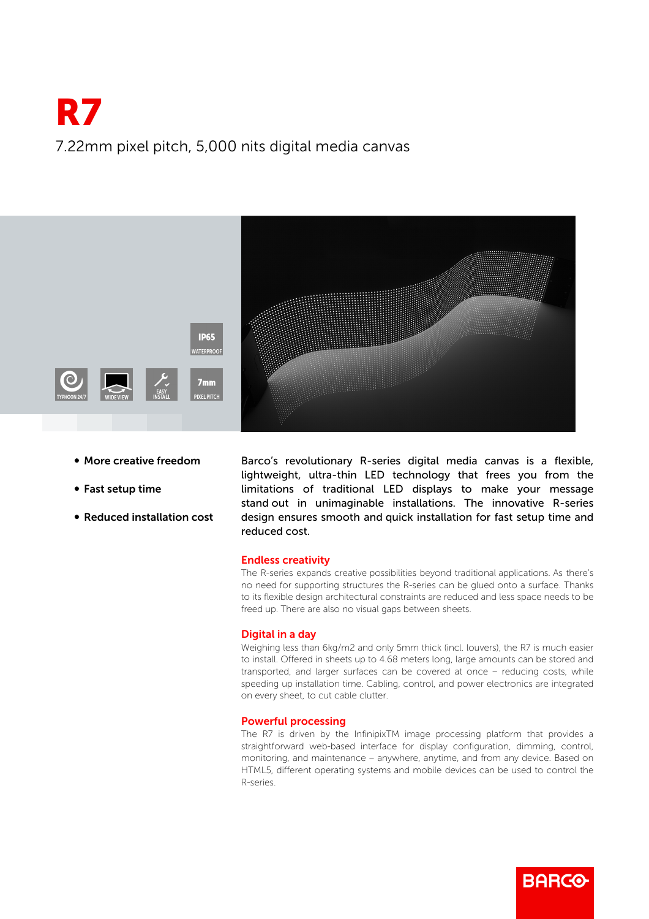# R7 7.22mm pixel pitch, 5,000 nits digital media canvas



- More creative freedom
- Fast setup time
- Reduced installation cost

Barco's revolutionary R-series digital media canvas is a flexible, lightweight, ultra-thin LED technology that frees you from the limitations of traditional LED displays to make your message stand out in unimaginable installations. The innovative R-series design ensures smooth and quick installation for fast setup time and reduced cost.

### Endless creativity

The R-series expands creative possibilities beyond traditional applications. As there's no need for supporting structures the R-series can be glued onto a surface. Thanks to its flexible design architectural constraints are reduced and less space needs to be freed up. There are also no visual gaps between sheets.

#### Digital in a day

Weighing less than 6kg/m2 and only 5mm thick (incl. louvers), the R7 is much easier to install. Offered in sheets up to 4.68 meters long, large amounts can be stored and transported, and larger surfaces can be covered at once – reducing costs, while speeding up installation time. Cabling, control, and power electronics are integrated on every sheet, to cut cable clutter.

#### Powerful processing

The R7 is driven by the InfinipixTM image processing platform that provides a straightforward web-based interface for display configuration, dimming, control, monitoring, and maintenance – anywhere, anytime, and from any device. Based on HTML5, different operating systems and mobile devices can be used to control the R-series.